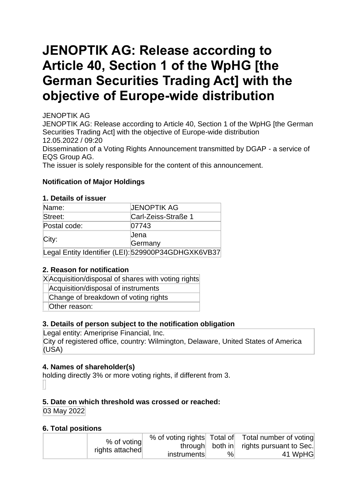# **JENOPTIK AG: Release according to Article 40, Section 1 of the WpHG [the German Securities Trading Act] with the objective of Europe-wide distribution**

JENOPTIK AG

JENOPTIK AG: Release according to Article 40, Section 1 of the WpHG [the German Securities Trading Act] with the objective of Europe-wide distribution 12.05.2022 / 09:20

Dissemination of a Voting Rights Announcement transmitted by DGAP - a service of EQS Group AG.

The issuer is solely responsible for the content of this announcement.

## **Notification of Major Holdings**

#### **1. Details of issuer**

| Name:        | <b>JENOPTIK AG</b>                                  |
|--------------|-----------------------------------------------------|
| Street:      | Carl-Zeiss-Straße 1                                 |
| Postal code: | 07743                                               |
|              | Jena                                                |
| City:        | Germany                                             |
|              | Legal Entity Identifier (LEI): 529900P34GDHGXK6VB37 |

## **2. Reason for notification**

| XA cquisition/disposal of shares with voting rights |  |
|-----------------------------------------------------|--|
| Acquisition/disposal of instruments                 |  |
| Change of breakdown of voting rights                |  |
| Other reason:                                       |  |

## **3. Details of person subject to the notification obligation**

Legal entity: Ameriprise Financial, Inc. City of registered office, country: Wilmington, Delaware, United States of America (USA)

## **4. Names of shareholder(s)**

holding directly 3% or more voting rights, if different from 3.

## **5. Date on which threshold was crossed or reached:**

03 May 2022

## **6. Total positions**

| % of voting     |             |      | % of voting rights Total of Total number of voting |
|-----------------|-------------|------|----------------------------------------------------|
|                 |             |      | through both in rights pursuant to Sec.            |
| rights attached | instruments | $\%$ | 41 WpHG                                            |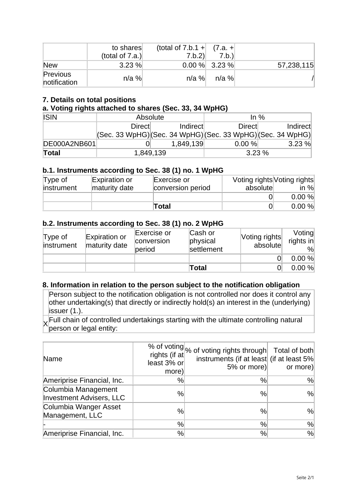|                          | to shares<br>(total of $7.a.$ ) | (total of 7.b.1 + $(7.a. +$ )<br>7.b.2 | 7.b.            |            |
|--------------------------|---------------------------------|----------------------------------------|-----------------|------------|
| <b>New</b>               | 3.23%                           |                                        | $0.00\%$ 3.23 % | 57,238,115 |
| Previous<br>notification | $n/a$ %                         | $n/a$ %                                | n/a %l          |            |

## **7. Details on total positions**

#### **a. Voting rights attached to shares (Sec. 33, 34 WpHG)**

| <b>ISIN</b>  | Absolute                                                        |           | In $%$ |          |  |
|--------------|-----------------------------------------------------------------|-----------|--------|----------|--|
|              | Direct                                                          | Indirect  | Direct | Indirect |  |
|              | $ (Sec. 33 WpHG) (Sec. 34 WpHG) (Sec. 33 WpHG) (Sec. 34 WpHG) $ |           |        |          |  |
| DE000A2NB601 |                                                                 | 1,849,139 | 0.00%  | 3.23%    |  |
| Total        | 1,849,139                                                       |           | 3.23%  |          |  |

#### **b.1. Instruments according to Sec. 38 (1) no. 1 WpHG**

| Type of<br>instrument | Expiration or<br>maturity date | Exercise or<br>conversion period | Voting rights Voting rights<br>absolute | in $%$ |
|-----------------------|--------------------------------|----------------------------------|-----------------------------------------|--------|
|                       |                                |                                  |                                         | 0.00%  |
|                       |                                | Total                            |                                         | 0.00%  |

#### **b.2. Instruments according to Sec. 38 (1) no. 2 WpHG**

| $T$ ype of<br>instrument | Expiration or<br>maturity date | Exercise or<br>conversion<br>period | Cash or<br>physical<br>settlement | Voting rights<br>absolute | Voting<br>rights in<br>% |
|--------------------------|--------------------------------|-------------------------------------|-----------------------------------|---------------------------|--------------------------|
|                          |                                |                                     |                                   |                           | 0.00%                    |
|                          |                                |                                     | Total                             |                           | 0.00%                    |

#### **8. Information in relation to the person subject to the notification obligation**

Person subject to the notification obligation is not controlled nor does it control any other undertaking(s) that directly or indirectly hold(s) an interest in the (underlying) issuer (1.).

 $\times$  Full chain of controlled undertakings starting with the ultimate controlling natural<br>parson or logal ontity: person or legal entity:

| Name                                                   | rights (if at<br>least 3% or<br>more) | % of voting % of voting rights through Total of both<br>instruments (if at least (if at least 5%)<br>5% or more) | or more)      |
|--------------------------------------------------------|---------------------------------------|------------------------------------------------------------------------------------------------------------------|---------------|
| Ameriprise Financial, Inc.                             | %                                     | %                                                                                                                | %             |
| Columbia Management<br><b>Investment Advisers, LLC</b> | %                                     | $\%$                                                                                                             | $\frac{9}{6}$ |
| Columbia Wanger Asset<br>Management, LLC               | %                                     | %                                                                                                                | $\frac{9}{6}$ |
|                                                        | %                                     | $\%$                                                                                                             | %             |
| Ameriprise Financial, Inc.                             | %                                     | $\%$                                                                                                             | %             |